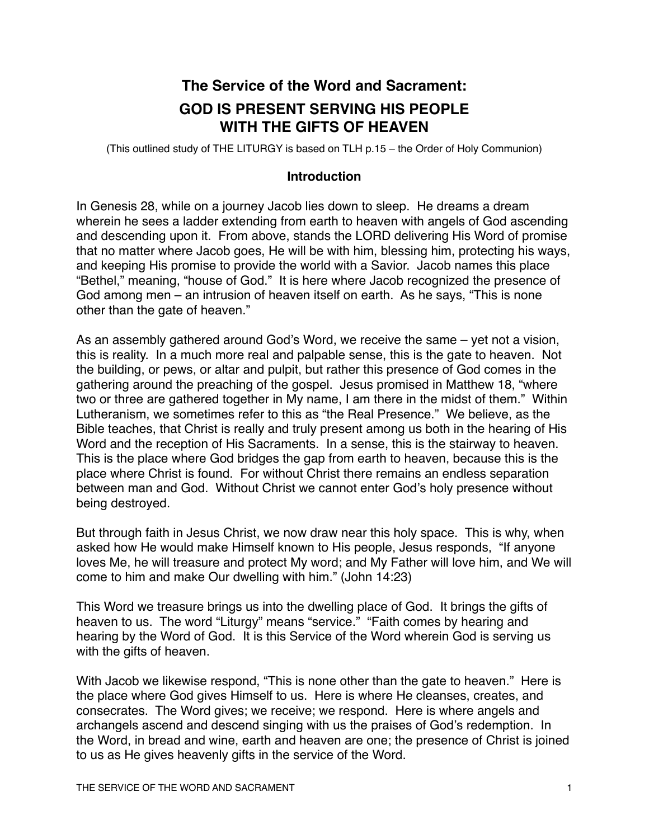# **The Service of the Word and Sacrament: GOD IS PRESENT SERVING HIS PEOPLE WITH THE GIFTS OF HEAVEN**

(This outlined study of THE LITURGY is based on TLH p.15 – the Order of Holy Communion)

#### **Introduction**

In Genesis 28, while on a journey Jacob lies down to sleep. He dreams a dream wherein he sees a ladder extending from earth to heaven with angels of God ascending and descending upon it. From above, stands the LORD delivering His Word of promise that no matter where Jacob goes, He will be with him, blessing him, protecting his ways, and keeping His promise to provide the world with a Savior. Jacob names this place "Bethel," meaning, "house of God." It is here where Jacob recognized the presence of God among men – an intrusion of heaven itself on earth. As he says, "This is none other than the gate of heaven."

As an assembly gathered around God's Word, we receive the same – yet not a vision, this is reality. In a much more real and palpable sense, this is the gate to heaven. Not the building, or pews, or altar and pulpit, but rather this presence of God comes in the gathering around the preaching of the gospel. Jesus promised in Matthew 18, "where two or three are gathered together in My name, I am there in the midst of them." Within Lutheranism, we sometimes refer to this as "the Real Presence." We believe, as the Bible teaches, that Christ is really and truly present among us both in the hearing of His Word and the reception of His Sacraments. In a sense, this is the stairway to heaven. This is the place where God bridges the gap from earth to heaven, because this is the place where Christ is found. For without Christ there remains an endless separation between man and God. Without Christ we cannot enter God's holy presence without being destroyed.

But through faith in Jesus Christ, we now draw near this holy space. This is why, when asked how He would make Himself known to His people, Jesus responds, "If anyone loves Me, he will treasure and protect My word; and My Father will love him, and We will come to him and make Our dwelling with him." (John 14:23)

This Word we treasure brings us into the dwelling place of God. It brings the gifts of heaven to us. The word "Liturgy" means "service." "Faith comes by hearing and hearing by the Word of God. It is this Service of the Word wherein God is serving us with the gifts of heaven.

With Jacob we likewise respond, "This is none other than the gate to heaven." Here is the place where God gives Himself to us. Here is where He cleanses, creates, and consecrates. The Word gives; we receive; we respond. Here is where angels and archangels ascend and descend singing with us the praises of God's redemption. In the Word, in bread and wine, earth and heaven are one; the presence of Christ is joined to us as He gives heavenly gifts in the service of the Word.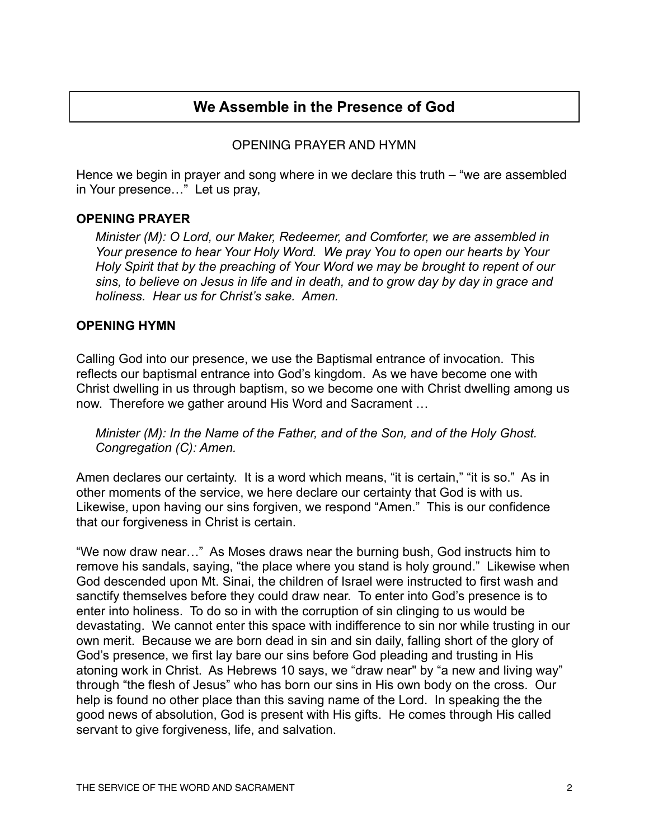# **We Assemble in the Presence of God**

### OPENING PRAYER AND HYMN

Hence we begin in prayer and song where in we declare this truth – "we are assembled in Your presence…" Let us pray,

#### **OPENING PRAYER**

*Minister (M): O Lord, our Maker, Redeemer, and Comforter, we are assembled in Your presence to hear Your Holy Word. We pray You to open our hearts by Your Holy Spirit that by the preaching of Your Word we may be brought to repent of our sins, to believe on Jesus in life and in death, and to grow day by day in grace and holiness. Hear us for Christ's sake. Amen.*

#### **OPENING HYMN**

Calling God into our presence, we use the Baptismal entrance of invocation. This reflects our baptismal entrance into God's kingdom. As we have become one with Christ dwelling in us through baptism, so we become one with Christ dwelling among us now. Therefore we gather around His Word and Sacrament …

*Minister (M): In the Name of the Father, and of the Son, and of the Holy Ghost. Congregation (C): Amen.* 

Amen declares our certainty. It is a word which means, "it is certain," "it is so." As in other moments of the service, we here declare our certainty that God is with us. Likewise, upon having our sins forgiven, we respond "Amen." This is our confidence that our forgiveness in Christ is certain.

"We now draw near…" As Moses draws near the burning bush, God instructs him to remove his sandals, saying, "the place where you stand is holy ground." Likewise when God descended upon Mt. Sinai, the children of Israel were instructed to first wash and sanctify themselves before they could draw near. To enter into God's presence is to enter into holiness. To do so in with the corruption of sin clinging to us would be devastating. We cannot enter this space with indifference to sin nor while trusting in our own merit. Because we are born dead in sin and sin daily, falling short of the glory of God's presence, we first lay bare our sins before God pleading and trusting in His atoning work in Christ. As Hebrews 10 says, we "draw near" by "a new and living way" through "the flesh of Jesus" who has born our sins in His own body on the cross. Our help is found no other place than this saving name of the Lord. In speaking the the good news of absolution, God is present with His gifts. He comes through His called servant to give forgiveness, life, and salvation.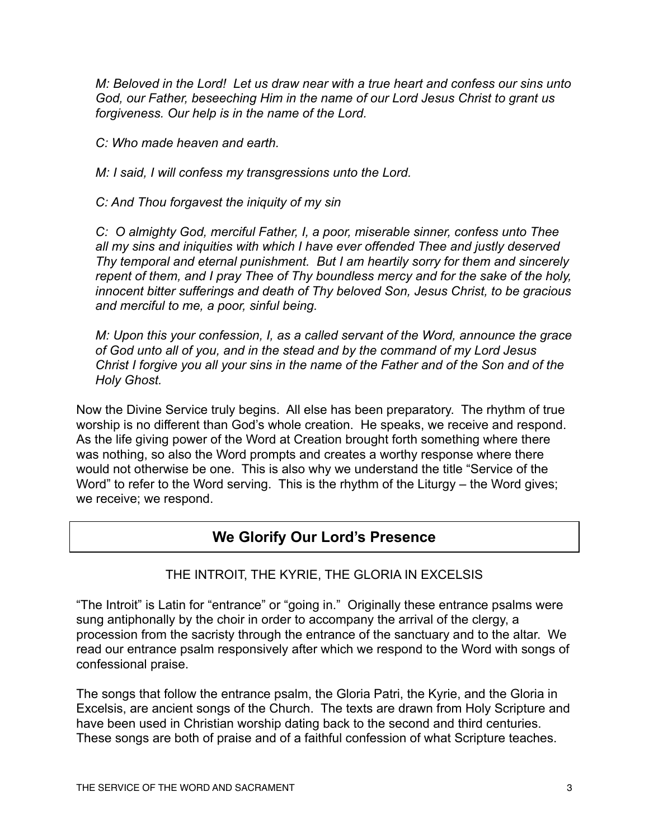*M: Beloved in the Lord! Let us draw near with a true heart and confess our sins unto God, our Father, beseeching Him in the name of our Lord Jesus Christ to grant us forgiveness. Our help is in the name of the Lord.*

*C: Who made heaven and earth.*

*M: I said, I will confess my transgressions unto the Lord.*

*C: And Thou forgavest the iniquity of my sin*

*C: O almighty God, merciful Father, I, a poor, miserable sinner, confess unto Thee all my sins and iniquities with which I have ever offended Thee and justly deserved Thy temporal and eternal punishment. But I am heartily sorry for them and sincerely repent of them, and I pray Thee of Thy boundless mercy and for the sake of the holy, innocent bitter sufferings and death of Thy beloved Son, Jesus Christ, to be gracious and merciful to me, a poor, sinful being.*

*M: Upon this your confession, I, as a called servant of the Word, announce the grace of God unto all of you, and in the stead and by the command of my Lord Jesus Christ I forgive you all your sins in the name of the Father and of the Son and of the Holy Ghost.*

Now the Divine Service truly begins. All else has been preparatory. The rhythm of true worship is no different than God's whole creation. He speaks, we receive and respond. As the life giving power of the Word at Creation brought forth something where there was nothing, so also the Word prompts and creates a worthy response where there would not otherwise be one. This is also why we understand the title "Service of the Word" to refer to the Word serving. This is the rhythm of the Liturgy – the Word gives; we receive; we respond.

# **We Glorify Our Lord's Presence**

# THE INTROIT, THE KYRIE, THE GLORIA IN EXCELSIS

"The Introit" is Latin for "entrance" or "going in." Originally these entrance psalms were sung antiphonally by the choir in order to accompany the arrival of the clergy, a procession from the sacristy through the entrance of the sanctuary and to the altar. We read our entrance psalm responsively after which we respond to the Word with songs of confessional praise.

The songs that follow the entrance psalm, the Gloria Patri, the Kyrie, and the Gloria in Excelsis, are ancient songs of the Church. The texts are drawn from Holy Scripture and have been used in Christian worship dating back to the second and third centuries. These songs are both of praise and of a faithful confession of what Scripture teaches.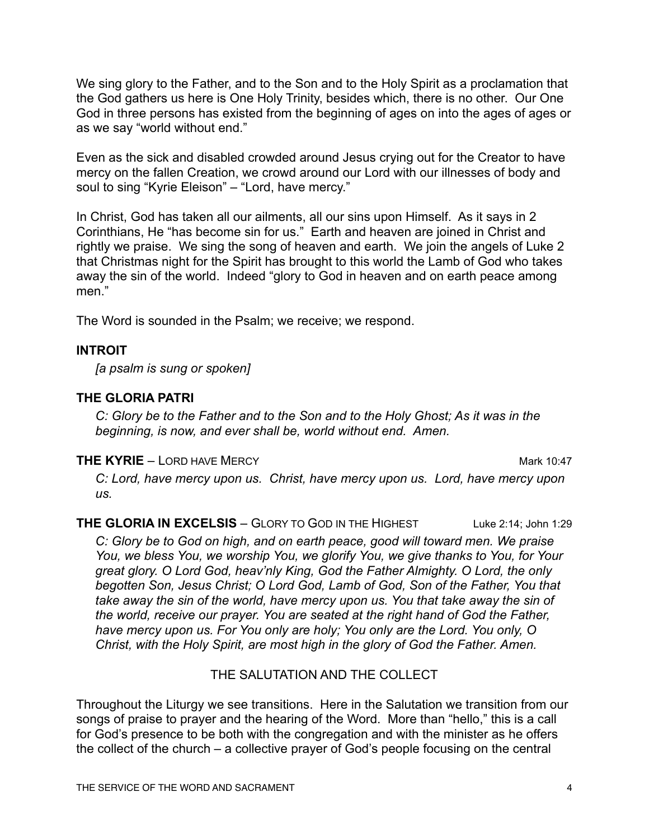We sing glory to the Father, and to the Son and to the Holy Spirit as a proclamation that the God gathers us here is One Holy Trinity, besides which, there is no other. Our One God in three persons has existed from the beginning of ages on into the ages of ages or as we say "world without end."

Even as the sick and disabled crowded around Jesus crying out for the Creator to have mercy on the fallen Creation, we crowd around our Lord with our illnesses of body and soul to sing "Kyrie Eleison" – "Lord, have mercy."

In Christ, God has taken all our ailments, all our sins upon Himself. As it says in 2 Corinthians, He "has become sin for us." Earth and heaven are joined in Christ and rightly we praise. We sing the song of heaven and earth. We join the angels of Luke 2 that Christmas night for the Spirit has brought to this world the Lamb of God who takes away the sin of the world. Indeed "glory to God in heaven and on earth peace among men."

The Word is sounded in the Psalm; we receive; we respond.

#### **INTROIT**

*[a psalm is sung or spoken]*

### **THE GLORIA PATRI**

*C: Glory be to the Father and to the Son and to the Holy Ghost; As it was in the beginning, is now, and ever shall be, world without end. Amen.*

#### **THE KYRIE** – LORD HAVE MERCY **Mark 10:47**

*C: Lord, have mercy upon us. Christ, have mercy upon us. Lord, have mercy upon us.*

**THE GLORIA IN EXCELSIS** – GLORY TO GOD IN THE HIGHEST Luke 2:14: John 1:29

*C: Glory be to God on high, and on earth peace, good will toward men. We praise You, we bless You, we worship You, we glorify You, we give thanks to You, for Your great glory. O Lord God, heav'nly King, God the Father Almighty. O Lord, the only begotten Son, Jesus Christ; O Lord God, Lamb of God, Son of the Father, You that take away the sin of the world, have mercy upon us. You that take away the sin of the world, receive our prayer. You are seated at the right hand of God the Father, have mercy upon us. For You only are holy; You only are the Lord. You only, O Christ, with the Holy Spirit, are most high in the glory of God the Father. Amen.* 

# THE SALUTATION AND THE COLLECT

Throughout the Liturgy we see transitions. Here in the Salutation we transition from our songs of praise to prayer and the hearing of the Word. More than "hello," this is a call for God's presence to be both with the congregation and with the minister as he offers the collect of the church – a collective prayer of God's people focusing on the central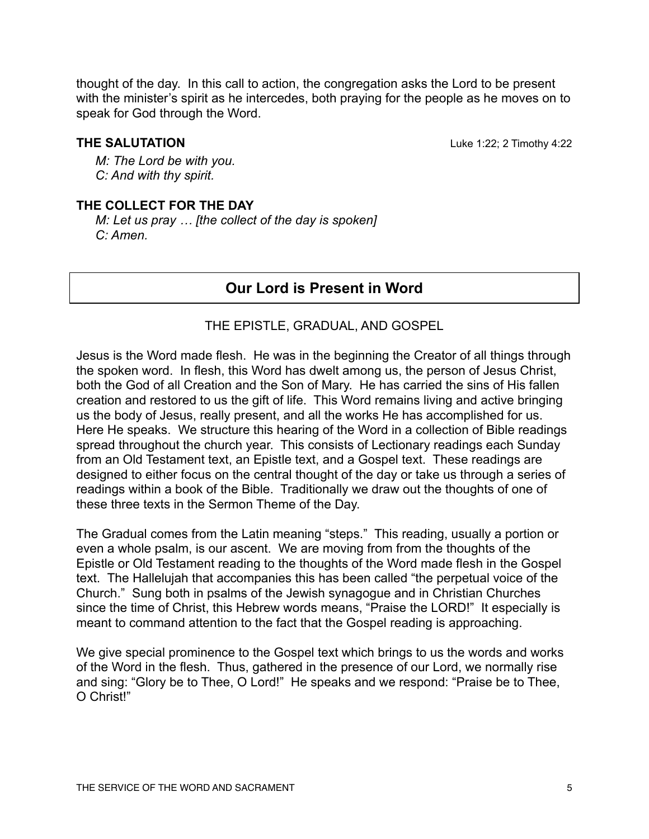thought of the day. In this call to action, the congregation asks the Lord to be present with the minister's spirit as he intercedes, both praying for the people as he moves on to speak for God through the Word.

**THE SALUTATION** Luke 1:22; 2 Timothy 4:22

*M: The Lord be with you. C: And with thy spirit.*

### **THE COLLECT FOR THE DAY**

*M: Let us pray … [the collect of the day is spoken] C: Amen.*

# **Our Lord is Present in Word**

#### THE EPISTLE, GRADUAL, AND GOSPEL

Jesus is the Word made flesh. He was in the beginning the Creator of all things through the spoken word. In flesh, this Word has dwelt among us, the person of Jesus Christ, both the God of all Creation and the Son of Mary. He has carried the sins of His fallen creation and restored to us the gift of life. This Word remains living and active bringing us the body of Jesus, really present, and all the works He has accomplished for us. Here He speaks. We structure this hearing of the Word in a collection of Bible readings spread throughout the church year. This consists of Lectionary readings each Sunday from an Old Testament text, an Epistle text, and a Gospel text. These readings are designed to either focus on the central thought of the day or take us through a series of readings within a book of the Bible. Traditionally we draw out the thoughts of one of these three texts in the Sermon Theme of the Day.

The Gradual comes from the Latin meaning "steps." This reading, usually a portion or even a whole psalm, is our ascent. We are moving from from the thoughts of the Epistle or Old Testament reading to the thoughts of the Word made flesh in the Gospel text. The Hallelujah that accompanies this has been called "the perpetual voice of the Church." Sung both in psalms of the Jewish synagogue and in Christian Churches since the time of Christ, this Hebrew words means, "Praise the LORD!" It especially is meant to command attention to the fact that the Gospel reading is approaching.

We give special prominence to the Gospel text which brings to us the words and works of the Word in the flesh. Thus, gathered in the presence of our Lord, we normally rise and sing: "Glory be to Thee, O Lord!" He speaks and we respond: "Praise be to Thee, O Christ!"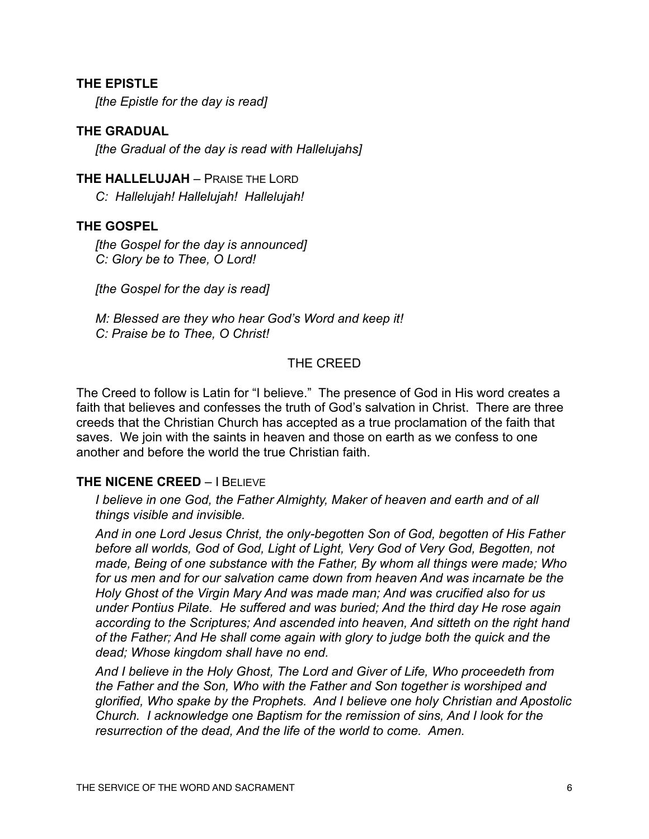#### **THE EPISTLE**

*[the Epistle for the day is read]*

#### **THE GRADUAL**

*[the Gradual of the day is read with Hallelujahs]*

#### **THE HALLELUJAH** – PRAISE THE LORD

*C: Hallelujah! Hallelujah! Hallelujah!*

#### **THE GOSPEL**

*[the Gospel for the day is announced] C: Glory be to Thee, O Lord!*

*[the Gospel for the day is read]*

*M: Blessed are they who hear God's Word and keep it! C: Praise be to Thee, O Christ!*

#### THE CREED

The Creed to follow is Latin for "I believe." The presence of God in His word creates a faith that believes and confesses the truth of God's salvation in Christ. There are three creeds that the Christian Church has accepted as a true proclamation of the faith that saves. We join with the saints in heaven and those on earth as we confess to one another and before the world the true Christian faith.

#### **THE NICENE CREED – I BELIEVE**

*I believe in one God, the Father Almighty, Maker of heaven and earth and of all things visible and invisible.*

*And in one Lord Jesus Christ, the only-begotten Son of God, begotten of His Father before all worlds, God of God, Light of Light, Very God of Very God, Begotten, not made, Being of one substance with the Father, By whom all things were made; Who*  for us men and for our salvation came down from heaven And was incarnate be the *Holy Ghost of the Virgin Mary And was made man; And was crucified also for us under Pontius Pilate. He suffered and was buried; And the third day He rose again according to the Scriptures; And ascended into heaven, And sitteth on the right hand of the Father; And He shall come again with glory to judge both the quick and the dead; Whose kingdom shall have no end.*

*And I believe in the Holy Ghost, The Lord and Giver of Life, Who proceedeth from the Father and the Son, Who with the Father and Son together is worshiped and glorified, Who spake by the Prophets. And I believe one holy Christian and Apostolic Church. I acknowledge one Baptism for the remission of sins, And I look for the resurrection of the dead, And the life of the world to come. Amen.*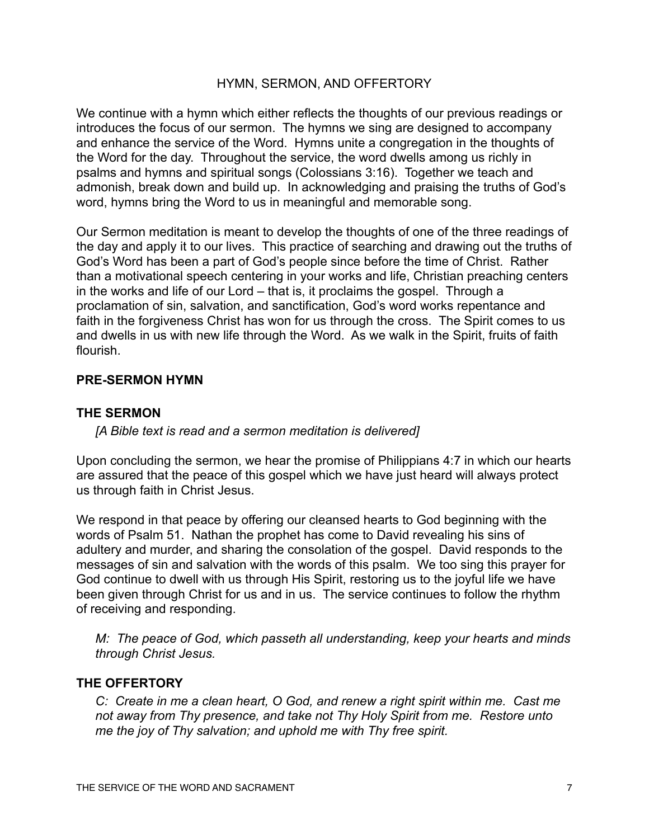#### HYMN, SERMON, AND OFFERTORY

We continue with a hymn which either reflects the thoughts of our previous readings or introduces the focus of our sermon. The hymns we sing are designed to accompany and enhance the service of the Word. Hymns unite a congregation in the thoughts of the Word for the day. Throughout the service, the word dwells among us richly in psalms and hymns and spiritual songs (Colossians 3:16). Together we teach and admonish, break down and build up. In acknowledging and praising the truths of God's word, hymns bring the Word to us in meaningful and memorable song.

Our Sermon meditation is meant to develop the thoughts of one of the three readings of the day and apply it to our lives. This practice of searching and drawing out the truths of God's Word has been a part of God's people since before the time of Christ. Rather than a motivational speech centering in your works and life, Christian preaching centers in the works and life of our Lord – that is, it proclaims the gospel. Through a proclamation of sin, salvation, and sanctification, God's word works repentance and faith in the forgiveness Christ has won for us through the cross. The Spirit comes to us and dwells in us with new life through the Word. As we walk in the Spirit, fruits of faith flourish.

#### **PRE-SERMON HYMN**

#### **THE SERMON**

*[A Bible text is read and a sermon meditation is delivered]*

Upon concluding the sermon, we hear the promise of Philippians 4:7 in which our hearts are assured that the peace of this gospel which we have just heard will always protect us through faith in Christ Jesus.

We respond in that peace by offering our cleansed hearts to God beginning with the words of Psalm 51. Nathan the prophet has come to David revealing his sins of adultery and murder, and sharing the consolation of the gospel. David responds to the messages of sin and salvation with the words of this psalm. We too sing this prayer for God continue to dwell with us through His Spirit, restoring us to the joyful life we have been given through Christ for us and in us. The service continues to follow the rhythm of receiving and responding.

*M: The peace of God, which passeth all understanding, keep your hearts and minds through Christ Jesus.*

#### **THE OFFERTORY**

*C: Create in me a clean heart, O God, and renew a right spirit within me. Cast me not away from Thy presence, and take not Thy Holy Spirit from me. Restore unto me the joy of Thy salvation; and uphold me with Thy free spirit.*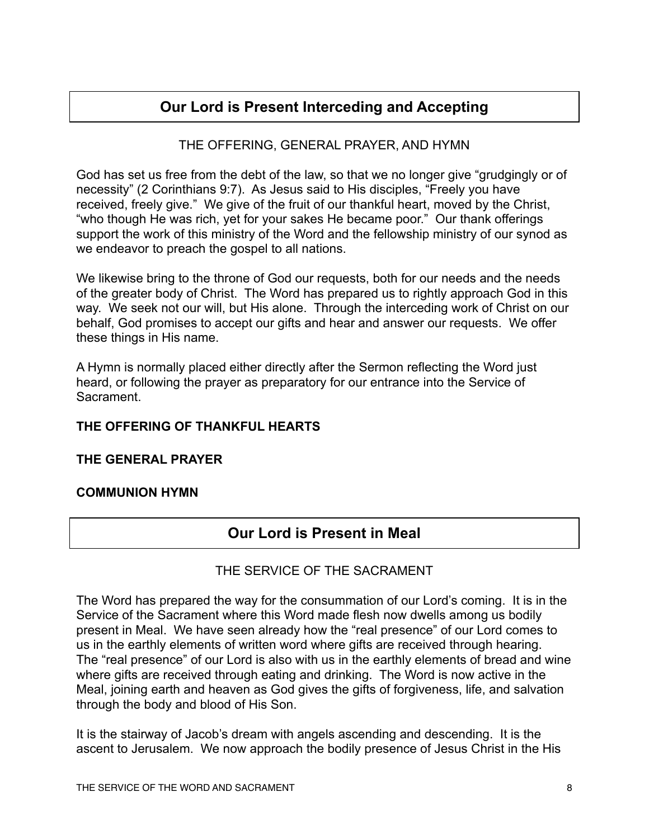# **Our Lord is Present Interceding and Accepting**

# THE OFFERING, GENERAL PRAYER, AND HYMN

God has set us free from the debt of the law, so that we no longer give "grudgingly or of necessity" (2 Corinthians 9:7). As Jesus said to His disciples, "Freely you have received, freely give." We give of the fruit of our thankful heart, moved by the Christ, "who though He was rich, yet for your sakes He became poor." Our thank offerings support the work of this ministry of the Word and the fellowship ministry of our synod as we endeavor to preach the gospel to all nations.

We likewise bring to the throne of God our requests, both for our needs and the needs of the greater body of Christ. The Word has prepared us to rightly approach God in this way. We seek not our will, but His alone. Through the interceding work of Christ on our behalf, God promises to accept our gifts and hear and answer our requests. We offer these things in His name.

A Hymn is normally placed either directly after the Sermon reflecting the Word just heard, or following the prayer as preparatory for our entrance into the Service of **Sacrament** 

# **THE OFFERING OF THANKFUL HEARTS**

#### **THE GENERAL PRAYER**

#### **COMMUNION HYMN**

# **Our Lord is Present in Meal**

# THE SERVICE OF THE SACRAMENT

The Word has prepared the way for the consummation of our Lord's coming. It is in the Service of the Sacrament where this Word made flesh now dwells among us bodily present in Meal. We have seen already how the "real presence" of our Lord comes to us in the earthly elements of written word where gifts are received through hearing. The "real presence" of our Lord is also with us in the earthly elements of bread and wine where gifts are received through eating and drinking. The Word is now active in the Meal, joining earth and heaven as God gives the gifts of forgiveness, life, and salvation through the body and blood of His Son.

It is the stairway of Jacob's dream with angels ascending and descending. It is the ascent to Jerusalem. We now approach the bodily presence of Jesus Christ in the His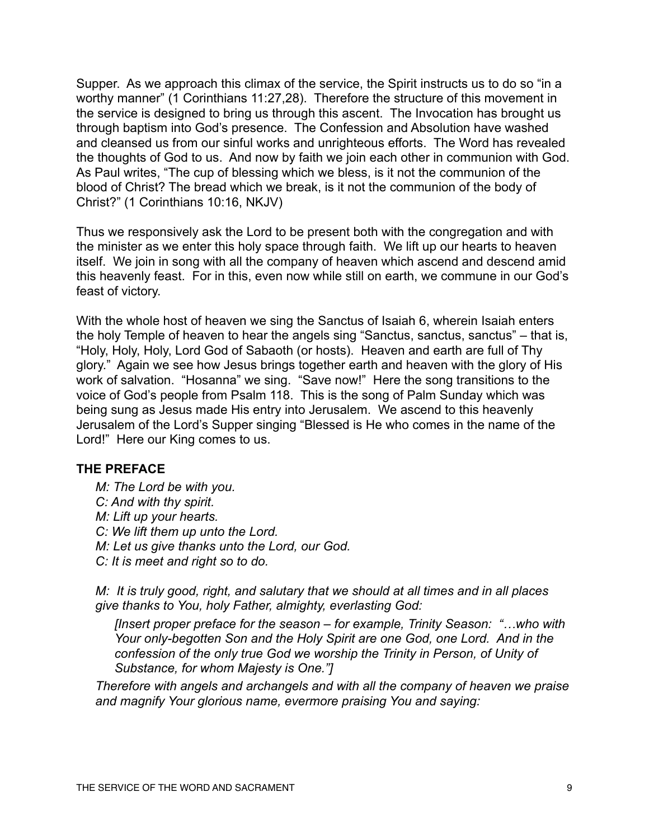Supper. As we approach this climax of the service, the Spirit instructs us to do so "in a worthy manner" (1 Corinthians 11:27,28). Therefore the structure of this movement in the service is designed to bring us through this ascent. The Invocation has brought us through baptism into God's presence. The Confession and Absolution have washed and cleansed us from our sinful works and unrighteous efforts. The Word has revealed the thoughts of God to us. And now by faith we join each other in communion with God. As Paul writes, "The cup of blessing which we bless, is it not the communion of the blood of Christ? The bread which we break, is it not the communion of the body of Christ?" (1 Corinthians 10:16, NKJV)

Thus we responsively ask the Lord to be present both with the congregation and with the minister as we enter this holy space through faith. We lift up our hearts to heaven itself. We join in song with all the company of heaven which ascend and descend amid this heavenly feast. For in this, even now while still on earth, we commune in our God's feast of victory.

With the whole host of heaven we sing the Sanctus of Isaiah 6, wherein Isaiah enters the holy Temple of heaven to hear the angels sing "Sanctus, sanctus, sanctus" – that is, "Holy, Holy, Holy, Lord God of Sabaoth (or hosts). Heaven and earth are full of Thy glory." Again we see how Jesus brings together earth and heaven with the glory of His work of salvation. "Hosanna" we sing. "Save now!" Here the song transitions to the voice of God's people from Psalm 118. This is the song of Palm Sunday which was being sung as Jesus made His entry into Jerusalem. We ascend to this heavenly Jerusalem of the Lord's Supper singing "Blessed is He who comes in the name of the Lord!" Here our King comes to us.

#### **THE PREFACE**

*M: The Lord be with you. C: And with thy spirit. M: Lift up your hearts. C: We lift them up unto the Lord. M: Let us give thanks unto the Lord, our God. C: It is meet and right so to do.*

*M: It is truly good, right, and salutary that we should at all times and in all places give thanks to You, holy Father, almighty, everlasting God:* 

*[Insert proper preface for the season – for example, Trinity Season: "…who with Your only-begotten Son and the Holy Spirit are one God, one Lord. And in the confession of the only true God we worship the Trinity in Person, of Unity of Substance, for whom Majesty is One."]* 

*Therefore with angels and archangels and with all the company of heaven we praise and magnify Your glorious name, evermore praising You and saying:*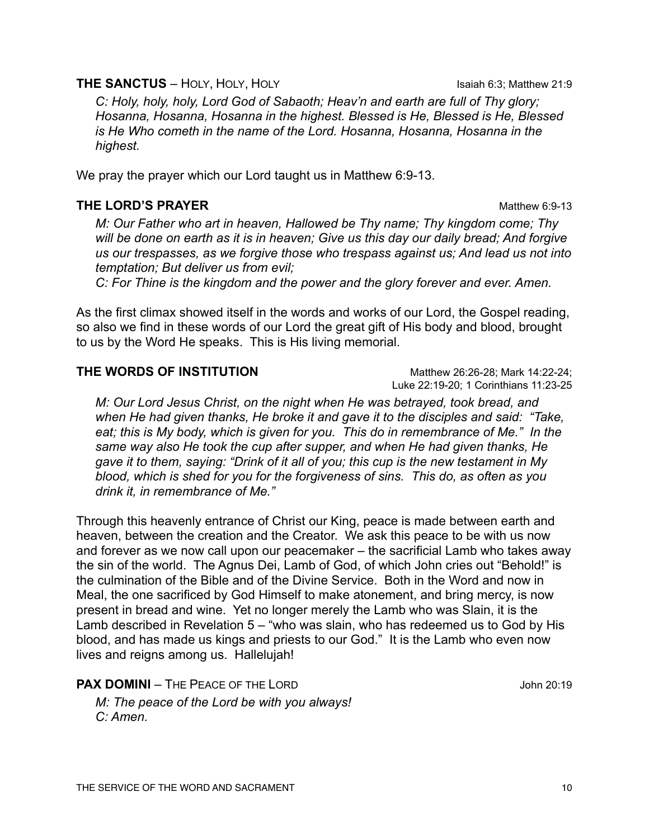#### **THE SANCTUS** – HOLY, HOLY, HOLY **Isaiah 6:3**; Matthew 21:9

*C: Holy, holy, holy, Lord God of Sabaoth; Heav'n and earth are full of Thy glory; Hosanna, Hosanna, Hosanna in the highest. Blessed is He, Blessed is He, Blessed is He Who cometh in the name of the Lord. Hosanna, Hosanna, Hosanna in the highest.*

We pray the prayer which our Lord taught us in Matthew 6:9-13.

# **THE LORD'S PRAYER** Matthew 6:9-13

*M: Our Father who art in heaven, Hallowed be Thy name; Thy kingdom come; Thy will be done on earth as it is in heaven; Give us this day our daily bread; And forgive us our trespasses, as we forgive those who trespass against us; And lead us not into temptation; But deliver us from evil;*

*C: For Thine is the kingdom and the power and the glory forever and ever. Amen.*

As the first climax showed itself in the words and works of our Lord, the Gospel reading, so also we find in these words of our Lord the great gift of His body and blood, brought to us by the Word He speaks. This is His living memorial.

### **THE WORDS OF INSTITUTION** Matthew 26:26-28: Mark 14:22-24:

*M: Our Lord Jesus Christ, on the night when He was betrayed, took bread, and when He had given thanks, He broke it and gave it to the disciples and said: "Take, eat; this is My body, which is given for you. This do in remembrance of Me." In the same way also He took the cup after supper, and when He had given thanks, He gave it to them, saying: "Drink of it all of you; this cup is the new testament in My blood, which is shed for you for the forgiveness of sins. This do, as often as you drink it, in remembrance of Me."*

Through this heavenly entrance of Christ our King, peace is made between earth and heaven, between the creation and the Creator. We ask this peace to be with us now and forever as we now call upon our peacemaker – the sacrificial Lamb who takes away the sin of the world. The Agnus Dei, Lamb of God, of which John cries out "Behold!" is the culmination of the Bible and of the Divine Service. Both in the Word and now in Meal, the one sacrificed by God Himself to make atonement, and bring mercy, is now present in bread and wine. Yet no longer merely the Lamb who was Slain, it is the Lamb described in Revelation 5 – "who was slain, who has redeemed us to God by His blood, and has made us kings and priests to our God." It is the Lamb who even now lives and reigns among us. Hallelujah!

**PAX DOMINI** – THE PEACE OF THE LORD **SAMPLE 20:19** John 20:19

*M: The peace of the Lord be with you always! C: Amen.*

Luke 22:19-20; 1 Corinthians 11:23-25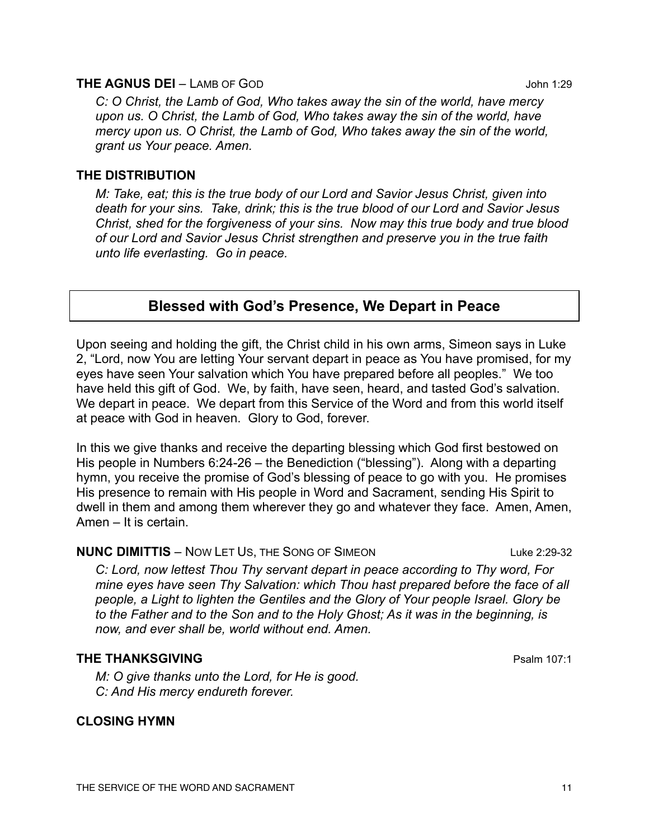#### **THE AGNUS DEI** – LAMB OF GOD **CONCLUSION CONCLUSION** John 1:29

*C: O Christ, the Lamb of God, Who takes away the sin of the world, have mercy upon us. O Christ, the Lamb of God, Who takes away the sin of the world, have mercy upon us. O Christ, the Lamb of God, Who takes away the sin of the world, grant us Your peace. Amen.*

#### **THE DISTRIBUTION**

*M: Take, eat; this is the true body of our Lord and Savior Jesus Christ, given into death for your sins. Take, drink; this is the true blood of our Lord and Savior Jesus Christ, shed for the forgiveness of your sins. Now may this true body and true blood of our Lord and Savior Jesus Christ strengthen and preserve you in the true faith unto life everlasting. Go in peace.*

# **Blessed with God's Presence, We Depart in Peace**

Upon seeing and holding the gift, the Christ child in his own arms, Simeon says in Luke 2, "Lord, now You are letting Your servant depart in peace as You have promised, for my eyes have seen Your salvation which You have prepared before all peoples." We too have held this gift of God. We, by faith, have seen, heard, and tasted God's salvation. We depart in peace. We depart from this Service of the Word and from this world itself at peace with God in heaven. Glory to God, forever.

In this we give thanks and receive the departing blessing which God first bestowed on His people in Numbers 6:24-26 – the Benediction ("blessing"). Along with a departing hymn, you receive the promise of God's blessing of peace to go with you. He promises His presence to remain with His people in Word and Sacrament, sending His Spirit to dwell in them and among them wherever they go and whatever they face. Amen, Amen, Amen – It is certain.

#### **NUNC DIMITTIS** – NOW LET US, THE SONG OF SIMEON LUKE 2:29-32

*C: Lord, now lettest Thou Thy servant depart in peace according to Thy word, For mine eyes have seen Thy Salvation: which Thou hast prepared before the face of all people, a Light to lighten the Gentiles and the Glory of Your people Israel. Glory be to the Father and to the Son and to the Holy Ghost; As it was in the beginning, is now, and ever shall be, world without end. Amen.*

#### **THE THANKSGIVING Properties and the CONSTRUCTION CONSTRUCTS Properties and Properties ATT:1**

*M: O give thanks unto the Lord, for He is good. C: And His mercy endureth forever.*

#### **CLOSING HYMN**